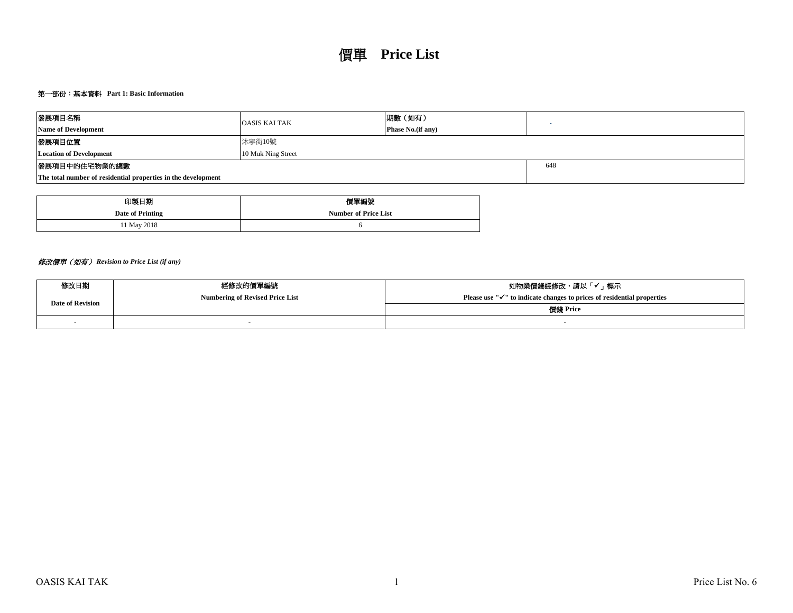# 第一部份:基本資料 **Part 1: Basic Information**

| 發展項目名稱                                                        | <b>OASIS KAI TAK</b> | 期數(如有)                    |  |  |  |  |  |
|---------------------------------------------------------------|----------------------|---------------------------|--|--|--|--|--|
| <b>Name of Development</b>                                    |                      | <b>Phase No.</b> (if any) |  |  |  |  |  |
| 發展項目位置                                                        | 沐寧街10號               |                           |  |  |  |  |  |
| <b>Location of Development</b>                                | 10 Muk Ning Street   |                           |  |  |  |  |  |
| 發展項目中的住宅物業的總數                                                 |                      | 648                       |  |  |  |  |  |
| The total number of residential properties in the development |                      |                           |  |  |  |  |  |

| 印製日期             | 價單編號                        |
|------------------|-----------------------------|
| Date of Printing | <b>Number of Price List</b> |
| 1 May 2018       |                             |

# 修改價單(如有) *Revision to Price List (if any)*

| 修改日期                    | 經修改的價單編號                               | 如物業價錢經修改,請以「✔」標示                                                                    |  |  |  |  |  |  |
|-------------------------|----------------------------------------|-------------------------------------------------------------------------------------|--|--|--|--|--|--|
| <b>Date of Revision</b> | <b>Numbering of Revised Price List</b> | Please use " $\checkmark$ " to indicate changes to prices of residential properties |  |  |  |  |  |  |
|                         |                                        | 價錢 Price                                                                            |  |  |  |  |  |  |
|                         |                                        |                                                                                     |  |  |  |  |  |  |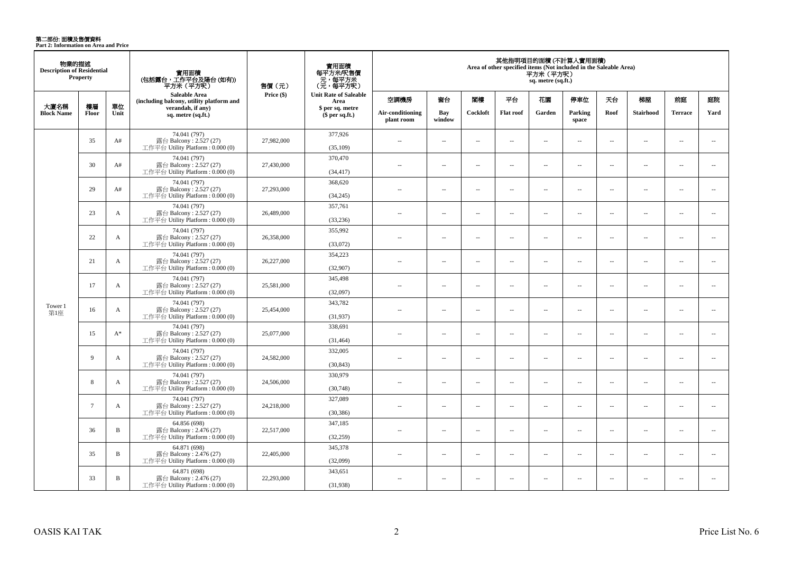**第二部份: 面積及售價資料**<br>Part 2: Information on Area and Price

| 物業的描述<br><b>Description of Residential</b> | <b>Property</b> |              | 實用面積<br>(包括露台,工作平台及陽台(如有))<br>平方米 (平方呎)                                      | 售價 (元)     | 實用面積<br>每平方米/呎售價<br>- 元, 每平方米<br>(元, 每平方呎) | 其他指明項目的面積(不計算入實用面積)<br>Area of other specified items (Not included in the Saleable Area)<br>平方米(平方呎)<br>sq. metre (sq.ft.) |                                |                          |                          |                          |                          |                          |                          |                          |                          |      |
|--------------------------------------------|-----------------|--------------|------------------------------------------------------------------------------|------------|--------------------------------------------|----------------------------------------------------------------------------------------------------------------------------|--------------------------------|--------------------------|--------------------------|--------------------------|--------------------------|--------------------------|--------------------------|--------------------------|--------------------------|------|
|                                            |                 |              | Saleable Area<br>(including balcony, utility platform and                    | Price (\$) | <b>Unit Rate of Saleable</b><br>Area       | 空調機房                                                                                                                       | 窗台                             | 閣樓                       | 平台                       | 花園                       | 停車位                      | 天台                       | 梯屋                       | 前庭                       | 庭院                       |      |
| 大廈名稱<br><b>Block Name</b>                  | 樓層<br>Floor     | 單位<br>Unit   | verandah, if any)<br>sq. metre (sq.ft.)                                      |            | \$ per sq. metre<br>$$per sq.f.$ )         |                                                                                                                            | Air-conditioning<br>plant room | Bay<br>window            | Cockloft                 | <b>Flat roof</b>         | Garden                   | Parking<br>space         | Roof                     | <b>Stairhood</b>         | <b>Terrace</b>           | Yard |
|                                            | 35              | A#           | 74.041 (797)<br>露台 Balcony: 2.527 (27)<br>工作平台 Utility Platform : $0.000(0)$ | 27,982,000 | 377,926<br>(35,109)                        | $\sim$                                                                                                                     | $\sim$                         | $\sim$                   | $\overline{a}$           | $\sim$ $\sim$            | $\sim$                   | $\overline{\phantom{a}}$ | $\sim$                   | $\overline{a}$           | $\sim$                   |      |
|                                            | 30              | A#           | 74.041 (797)<br>露台 Balcony: 2.527 (27)<br>工作平台 Utility Platform: 0.000 (0)   | 27,430,000 | 370,470<br>(34, 417)                       | $\sim$ $\sim$                                                                                                              | $\overline{a}$                 | $\sim$                   | $\sim$                   | $\sim$ $\sim$            | $\sim$                   | $\sim$                   | $\sim$                   | $\overline{a}$           | $\sim$                   |      |
|                                            | 29              | A#           | 74.041 (797)<br>露台 Balcony: 2.527 (27)<br>工作平台 Utility Platform : 0.000 (0)  | 27,293,000 | 368,620<br>(34,245)                        | $\overline{a}$                                                                                                             | $\sim$                         | $\sim$                   | μ.                       | $\overline{\phantom{a}}$ | $\overline{\phantom{a}}$ | $\overline{\phantom{a}}$ | $\sim$                   | $\overline{\phantom{a}}$ | $\overline{\phantom{a}}$ |      |
|                                            | 23              | A            | 74.041 (797)<br>露台 Balcony: 2.527 (27)<br>工作平台 Utility Platform: 0.000 (0)   | 26,489,000 | 357,761<br>(33,236)                        | $\sim$                                                                                                                     | $\overline{a}$                 | $\sim$                   | $\sim$                   | $\sim$                   | $\sim$                   | $\overline{\phantom{a}}$ | $\sim$                   | $\overline{a}$           | $\sim$                   |      |
|                                            | 22              | $\mathbf{A}$ | 74.041 (797)<br>露台 Balcony: 2.527 (27)<br>工作平台 Utility Platform: 0.000 (0)   | 26,358,000 | 355,992<br>(33,072)                        | $\sim$                                                                                                                     | $\overline{a}$                 | $\sim$                   | $\overline{a}$           | $\sim$                   | $\sim$                   | $\overline{\phantom{a}}$ | $\sim$                   | $\overline{a}$           | $\sim$                   |      |
|                                            | 21              | A            | 74.041 (797)<br>露台 Balcony: 2.527 (27)<br>工作平台 Utility Platform: 0.000 (0)   | 26,227,000 | 354,223<br>(32,907)                        | $\sim$                                                                                                                     | $\sim$                         | $\sim$                   | $\overline{\phantom{a}}$ | $\sim$                   | $\sim$                   | $\overline{\phantom{a}}$ | $\overline{\phantom{a}}$ | $\overline{a}$           | $\overline{\phantom{a}}$ |      |
|                                            | 17              | $\mathbf{A}$ | 74.041 (797)<br>露台 Balcony: 2.527 (27)<br>工作平台 Utility Platform: 0.000 (0)   | 25,581,000 | 345,498<br>(32,097)                        | $\sim$                                                                                                                     | $\sim$                         | $\sim$                   | $\sim$                   | $\sim$                   | $\sim$                   | $\sim$                   | $\sim$                   | $\sim$                   | $\sim$                   |      |
| Tower 1<br>第1座                             | 16              | A            | 74.041 (797)<br>露台 Balcony: 2.527 (27)<br>工作平台 Utility Platform : 0.000 (0)  | 25,454,000 | 343,782<br>(31, 937)                       | $\overline{a}$                                                                                                             | $\overline{\phantom{a}}$       | $\sim$                   | $\sim$                   | $\overline{a}$           | $\sim$                   | $\overline{\phantom{a}}$ | $\sim$                   | $\overline{a}$           | $\overline{\phantom{a}}$ |      |
|                                            | 15              | $A^*$        | 74.041 (797)<br>露台 Balcony: 2.527 (27)<br>工作平台 Utility Platform: 0.000 (0)   | 25,077,000 | 338,691<br>(31, 464)                       | $\overline{a}$                                                                                                             | $\overline{\phantom{a}}$       | $\sim$                   | $\overline{a}$           | $\overline{\phantom{a}}$ | $\overline{\phantom{a}}$ | $\overline{\phantom{a}}$ | $\sim$                   | $\overline{\phantom{a}}$ | $\overline{\phantom{a}}$ |      |
|                                            | 9               | $\mathbf{A}$ | 74.041 (797)<br>露台 Balcony: 2.527 (27)<br>工作平台 Utility Platform : $0.000(0)$ | 24,582,000 | 332,005<br>(30, 843)                       | $\overline{a}$                                                                                                             | $\overline{\phantom{a}}$       | $\sim$                   | μ.                       | $\overline{\phantom{a}}$ | $\sim$                   | $\sim$                   | ÷.                       | $\sim$                   | $\sim$                   |      |
|                                            | 8               | A            | 74.041 (797)<br>露台 Balcony: 2.527 (27)<br>工作平台 Utility Platform : 0.000 (0)  | 24,506,000 | 330,979<br>(30,748)                        | $\sim$                                                                                                                     | $\overline{\phantom{a}}$       | $\overline{\phantom{a}}$ | $\overline{\phantom{a}}$ | $\overline{\phantom{a}}$ | $\overline{\phantom{a}}$ | $\overline{\phantom{a}}$ | $\overline{\phantom{a}}$ | $\overline{\phantom{a}}$ | $\overline{\phantom{a}}$ |      |
|                                            | $7\phantom{.0}$ | A            | 74.041 (797)<br>露台 Balcony: 2.527 (27)<br>工作平台 Utility Platform : $0.000(0)$ | 24,218,000 | 327,089<br>(30, 386)                       | $\sim$                                                                                                                     | $\sim$                         | $\sim$                   | $\overline{\phantom{a}}$ | $\sim$                   | $\sim$                   | $\overline{\phantom{a}}$ | $\sim$                   | $\overline{\phantom{a}}$ | $\overline{\phantom{a}}$ |      |
|                                            | 36              | B            | 64.856 (698)<br>露台 Balcony: 2.476 (27)<br>工作平台 Utility Platform : 0.000 (0)  | 22,517,000 | 347,185<br>(32,259)                        | $\sim$                                                                                                                     | $\sim$                         | $\sim$                   | $\sim$                   | $\overline{a}$           | $\sim$                   | $\overline{\phantom{a}}$ | $\sim$                   | $\sim$                   | $\sim$                   |      |
|                                            | 35              | $\, {\bf B}$ | 64.871 (698)<br>露台 Balcony: 2.476 (27)<br>工作平台 Utility Platform: 0.000 (0)   | 22,405,000 | 345,378<br>(32,099)                        | $\overline{a}$                                                                                                             | $\overline{\phantom{a}}$       | $\sim$                   | $\overline{\phantom{a}}$ | $\overline{\phantom{a}}$ | $\sim$                   | $\overline{\phantom{a}}$ | $\sim$                   | $\overline{a}$           | $\overline{\phantom{a}}$ |      |
|                                            | 33              | B            | 64.871 (698)<br>露台 Balcony: 2.476 (27)<br>工作平台 Utility Platform : $0.000(0)$ | 22,293,000 | 343,651<br>(31,938)                        | $\sim$                                                                                                                     | $\sim$                         | $\sim$                   | $\overline{\phantom{a}}$ | $\sim$                   | $\sim$                   | $\overline{\phantom{a}}$ | $\sim$                   | $\overline{\phantom{a}}$ | $\overline{\phantom{a}}$ |      |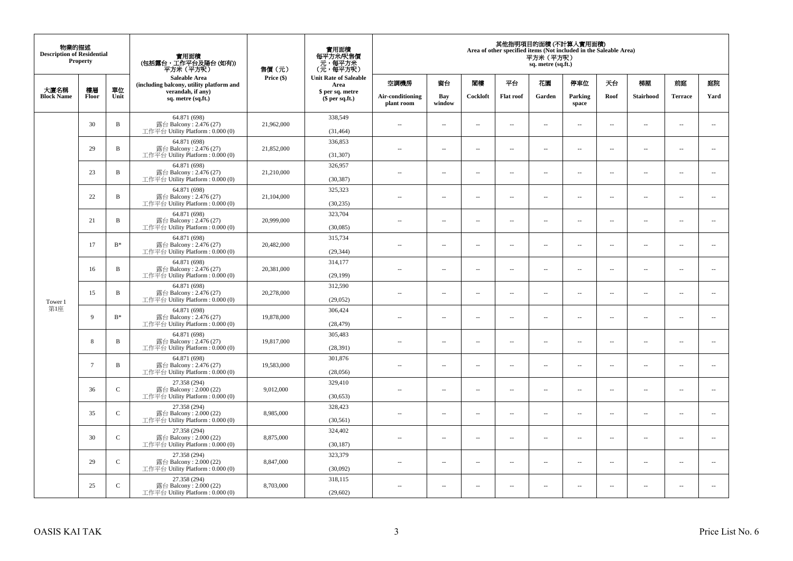| 物業的描述<br><b>Description of Residential</b> | <b>Property</b> |                | 實用面積<br>(包括露台,工作平台及陽台(如有))<br>平方米(平方呎)                                       | 售價(元)      | 實用面積<br>每平方米/呎售價<br>- 元, 每平方米<br>(元, 每平方呎) | 其他指明項目的面積 (不計算入實用面積)<br>Area of other specified items (Not included in the Saleable Area)<br>平方米 (平方呎)<br>sq. metre (sq.ft.) |                          |                          |                  |                          |                          |                          |                          |                          |                          |  |
|--------------------------------------------|-----------------|----------------|------------------------------------------------------------------------------|------------|--------------------------------------------|------------------------------------------------------------------------------------------------------------------------------|--------------------------|--------------------------|------------------|--------------------------|--------------------------|--------------------------|--------------------------|--------------------------|--------------------------|--|
| 大廈名稱                                       | 樓層              | 單位             | <b>Saleable Area</b><br>(including balcony, utility platform and             | Price (\$) | <b>Unit Rate of Saleable</b><br>Area       | 空調機房                                                                                                                         | 窗台                       | 閣樓                       | 平台               | 花園                       | 停車位                      | 天台                       | 梯屋                       | 前庭                       | 庭院                       |  |
| <b>Block Name</b>                          | Floor           | Unit           | verandah, if any)<br>sq. metre (sq.ft.)                                      |            | \$ per sq. metre<br>\$per sq.ft.)          | Air-conditioning<br>plant room                                                                                               | Bay<br>window            | Cockloft                 | <b>Flat</b> roof | Garden                   | Parking<br>space         | Roof                     | Stairhood                | <b>Terrace</b>           | Yard                     |  |
|                                            | 30              | $\, {\bf B}$   | 64.871 (698)<br>露台 Balcony: 2.476 (27)<br>工作平台 Utility Platform: 0.000 (0)   | 21,962,000 | 338,549<br>(31, 464)                       | $\ddot{\phantom{a}}$                                                                                                         | $\overline{\phantom{a}}$ | $\sim$                   | μ.               | $\sim$                   | $\sim$                   | $\overline{\phantom{a}}$ | Ξ.                       | $\ddot{\phantom{a}}$     | $\sim$                   |  |
|                                            | 29              | $\, {\bf B}$   | 64.871 (698)<br>露台 Balcony: 2.476 (27)<br>工作平台 Utility Platform: 0.000 (0)   | 21,852,000 | 336,853<br>(31, 307)                       | $\sim$                                                                                                                       | $\overline{a}$           | $\sim$                   | $\sim$           | $\sim$                   | $\sim$                   | $\sim$                   | $\sim$                   | $\sim$                   | $\mathbf{u}$             |  |
|                                            | 23              | $\, {\bf B}$   | 64.871 (698)<br>露台 Balcony: 2.476 (27)<br>工作平台 Utility Platform: 0.000 (0)   | 21,210,000 | 326,957<br>(30, 387)                       | $\sim$                                                                                                                       | $\overline{\phantom{a}}$ | $\overline{\phantom{a}}$ | --               | $\overline{\phantom{a}}$ | $\overline{\phantom{a}}$ | $\overline{\phantom{a}}$ | $\overline{\phantom{a}}$ | $\overline{\phantom{a}}$ | $\overline{\phantom{a}}$ |  |
|                                            | 22              | $\, {\bf B}$   | 64.871 (698)<br>露台 Balcony: 2.476 (27)<br>工作平台 Utility Platform: 0.000 (0)   | 21,104,000 | 325,323<br>(30, 235)                       | $\sim$                                                                                                                       | $\overline{\phantom{a}}$ | $\sim$                   | $\sim$           | $\overline{\phantom{a}}$ | $\sim$                   | $\sim$                   | $\sim$                   | $\overline{\phantom{a}}$ | $\sim$                   |  |
|                                            | 21              | B              | 64.871 (698)<br>露台 Balcony: 2.476 (27)<br>工作平台 Utility Platform: 0.000 (0)   | 20,999,000 | 323,704<br>(30,085)                        |                                                                                                                              | μ.                       | ÷.                       | μ.               | $\sim$                   | $\sim$                   | $\sim$                   | Ξ.                       | $\ddot{\phantom{a}}$     | $\sim$                   |  |
|                                            | 17              | $\mathbf{B}^*$ | 64.871 (698)<br>露台 Balcony: 2.476 (27)<br>工作平台 Utility Platform: 0.000 (0)   | 20,482,000 | 315,734<br>(29, 344)                       | ×.                                                                                                                           | $\sim$                   | $\sim$                   | $\sim$           | $\sim$                   | $\sim$                   | $\sim$                   | $\overline{a}$           | $\sim$                   | $\sim$                   |  |
|                                            | 16              | $\, {\bf B}$   | 64.871 (698)<br>露台 Balcony: 2.476 (27)<br>工作平台 Utility Platform: 0.000 (0)   | 20,381,000 | 314,177<br>(29, 199)                       | $\sim$                                                                                                                       | $\overline{\phantom{a}}$ | $\sim$                   | μ.               | $\overline{\phantom{a}}$ | $\overline{\phantom{a}}$ | $\overline{\phantom{a}}$ | $\overline{\phantom{a}}$ | $\overline{\phantom{a}}$ | $\overline{\phantom{a}}$ |  |
| Tower 1                                    | 15              | $\, {\bf B}$   | 64.871 (698)<br>露台 Balcony: 2.476 (27)<br>工作平台 Utility Platform: 0.000 (0)   | 20,278,000 | 312,590<br>(29,052)                        | $\sim$                                                                                                                       | $\overline{a}$           | $\sim$                   | $\sim$           | $\overline{a}$           | $\sim$                   | $\overline{\phantom{a}}$ | $\overline{\phantom{a}}$ | $\sim$                   | $\sim$                   |  |
| 第1座                                        | $\mathbf{Q}$    | $B^*$          | 64.871 (698)<br>露台 Balcony: 2.476 (27)<br>工作平台 Utility Platform: 0.000 (0)   | 19,878,000 | 306,424<br>(28, 479)                       | $\overline{\phantom{a}}$                                                                                                     | $\sim$                   | $\sim$                   | $\sim$           | $\sim$                   | $\sim$                   | $\overline{\phantom{a}}$ | $\overline{a}$           | $\sim$                   | $\ddot{\phantom{a}}$     |  |
|                                            | 8               | $\, {\bf B}$   | 64.871 (698)<br>露台 Balcony: 2.476 (27)<br>工作平台 Utility Platform : 0.000 (0)  | 19,817,000 | 305,483<br>(28, 391)                       | $\sim$                                                                                                                       | $\sim$                   | $\sim$                   | $\sim$           | $\sim$ $\sim$            | $\overline{\phantom{a}}$ | $\sim$                   | $\sim$                   | $\overline{\phantom{a}}$ | $\overline{\phantom{a}}$ |  |
|                                            | $7\phantom{.0}$ | B              | 64.871 (698)<br>露台 Balcony: $2.476(27)$<br>工作平台 Utility Platform : 0.000 (0) | 19,583,000 | 301,876<br>(28,056)                        |                                                                                                                              | $\overline{\phantom{a}}$ | $\sim$                   | μ.               | $\sim$                   | $\sim$                   | $\overline{\phantom{a}}$ | Ξ.                       | $\ddot{\phantom{a}}$     | $\sim$                   |  |
|                                            | 36              | $\mathcal{C}$  | 27.358 (294)<br>露台 Balcony: 2.000 (22)<br>工作平台 Utility Platform : 0.000 (0)  | 9,012,000  | 329,410<br>(30, 653)                       | $\sim$                                                                                                                       | $\overline{a}$           | $\sim$                   | $\sim$           | $\overline{a}$           | $\sim$                   | $\overline{\phantom{a}}$ | $\overline{\phantom{a}}$ | $\sim$                   | $\sim$                   |  |
|                                            | 35              | $\mathsf C$    | 27.358 (294)<br>露台 Balcony: 2.000 (22)<br>工作平台 Utility Platform : 0.000 (0)  | 8,985,000  | 328,423<br>(30, 561)                       | 44                                                                                                                           | $\overline{\phantom{a}}$ | $\sim$                   | μ.               | $\overline{\phantom{a}}$ | $\sim$                   | $\overline{\phantom{a}}$ | Ξ.                       | $\ddot{\phantom{a}}$     | $\sim$                   |  |
|                                            | 30              | $\mathsf{C}$   | 27.358 (294)<br>露台 Balcony: 2.000 (22)<br>工作平台 Utility Platform : 0.000 (0)  | 8,875,000  | 324,402<br>(30, 187)                       | $\sim$                                                                                                                       | $\sim$                   | $\sim$                   | $\sim$           | $\sim$ $\sim$            | $\sim$                   | $\sim$                   | $\sim$                   | $\sim$                   | $\sim$                   |  |
|                                            | 29              | $\mathcal{C}$  | 27.358 (294)<br>露台 Balcony: 2.000 (22)<br>工作平台 Utility Platform : $0.000(0)$ | 8,847,000  | 323,379<br>(30,092)                        | $\sim$                                                                                                                       | $\overline{\phantom{a}}$ | $\sim$                   | μ.               | $\overline{\phantom{a}}$ | $\sim$                   | $\overline{\phantom{a}}$ | $\overline{\phantom{a}}$ | $\sim$                   | $\sim$                   |  |
|                                            | 25              | $\mathsf{C}$   | 27.358 (294)<br>露台 Balcony: 2.000 (22)<br>工作平台 Utility Platform: 0.000 (0)   | 8,703,000  | 318,115<br>(29,602)                        | $\sim$                                                                                                                       | $\sim$                   | $\sim$                   | $\sim$           | $\sim$ $\sim$            | $\sim$                   | $\sim$                   | $\sim$                   | $\sim$                   | $\sim$                   |  |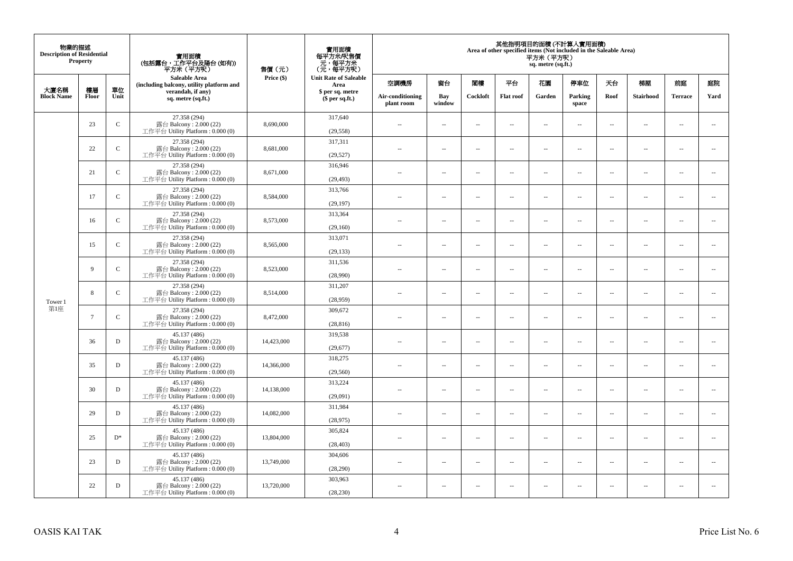| 物業的描述<br><b>Description of Residential</b> | <b>Property</b> |              | 實用面積<br>(包括露台,工作平台及陽台(如有))<br>平方米(平方呎)                                       | 售價(元)      | 實用面積<br>每平方米/呎售價<br>- 元, 每平方米<br>(元, 每平方呎) | 其他指明項目的面積 (不計算入實用面積)<br>Area of other specified items (Not included in the Saleable Area)<br>平方米(平方呎)<br>sq. metre (sq.ft.) |                          |                          |                |                                |                          |                          |                          |                      |                          |      |           |                |      |
|--------------------------------------------|-----------------|--------------|------------------------------------------------------------------------------|------------|--------------------------------------------|-----------------------------------------------------------------------------------------------------------------------------|--------------------------|--------------------------|----------------|--------------------------------|--------------------------|--------------------------|--------------------------|----------------------|--------------------------|------|-----------|----------------|------|
| 大廈名稱                                       | 樓層              | 單位           | <b>Saleable Area</b><br>(including balcony, utility platform and             | Price (\$) | <b>Unit Rate of Saleable</b><br>Area       | 空調機房                                                                                                                        | 窗台                       | 閣樓                       | 平台             | 花園                             | 停車位                      | 天台                       | 梯屋                       | 前庭                   | 庭院                       |      |           |                |      |
| <b>Block Name</b>                          | Floor           | Unit         | verandah, if any)<br>sq. metre (sq.ft.)                                      |            | $$$ per sq.ft.)                            |                                                                                                                             | \$ per sq. metre         |                          |                | Air-conditioning<br>plant room | Bay<br>window            | Cockloft                 | <b>Flat</b> roof         | Garden               | Parking<br>space         | Roof | Stairhood | <b>Terrace</b> | Yard |
|                                            | 23              | $\mathsf{C}$ | 27.358 (294)<br>露台 Balcony: 2.000 (22)<br>工作平台 Utility Platform: 0.000 (0)   | 8,690,000  | 317,640<br>(29, 558)                       | $\ddot{\phantom{a}}$                                                                                                        | $\overline{\phantom{a}}$ | $\sim$                   | μ.             | $\sim$                         | $\sim$                   | $\overline{\phantom{a}}$ | $\overline{\phantom{a}}$ | $\ddot{\phantom{a}}$ | $\overline{\phantom{a}}$ |      |           |                |      |
|                                            | 22              | $\mathbf C$  | 27.358 (294)<br>露台 Balcony: 2.000 (22)<br>工作平台 Utility Platform: 0.000 (0)   | 8,681,000  | 317,311<br>(29, 527)                       | $\sim$                                                                                                                      | $\overline{\phantom{a}}$ | $\sim$                   | μ.             | $\overline{a}$                 | $\sim$                   | $\sim$                   | $\overline{\phantom{a}}$ | $\ddot{\phantom{a}}$ | $\overline{\phantom{a}}$ |      |           |                |      |
|                                            | 21              | $\mathbf C$  | 27.358 (294)<br>露台 Balcony: 2.000 (22)<br>工作平台 Utility Platform : $0.000(0)$ | 8,671,000  | 316,946<br>(29, 493)                       | $\sim$                                                                                                                      | $\overline{\phantom{a}}$ | $\sim$                   | μ.             | $\ldots$                       | $\overline{\phantom{a}}$ | $\overline{\phantom{a}}$ | $\overline{\phantom{a}}$ | $\ldots$             | $\overline{\phantom{a}}$ |      |           |                |      |
|                                            | 17              | $\mathbf C$  | 27.358 (294)<br>露台 Balcony: 2.000 (22)<br>工作平台 Utility Platform: 0.000 (0)   | 8,584,000  | 313,766<br>(29, 197)                       | $\sim$                                                                                                                      | $\sim$                   | $\sim$                   | $\sim$         | $\sim$ $\sim$                  | $\sim$                   | $\overline{\phantom{a}}$ | $\sim$                   | $\sim$               | $\sim$                   |      |           |                |      |
|                                            | 16              | $\mathbf C$  | 27.358 (294)<br>露台 Balcony: 2.000 (22)<br>工作平台 Utility Platform: 0.000 (0)   | 8,573,000  | 313,364<br>(29,160)                        |                                                                                                                             | $\overline{\phantom{a}}$ | $\sim$                   | $\overline{a}$ | $\sim$                         | $\sim$                   | $\overline{\phantom{a}}$ | Ξ.                       | $\ddot{\phantom{a}}$ | $\sim$                   |      |           |                |      |
|                                            | 15              | $\mathbf C$  | 27.358 (294)<br>露台 Balcony: 2.000 (22)<br>工作平台 Utility Platform: 0.000 (0)   | 8,565,000  | 313,071<br>(29, 133)                       | $\sim$                                                                                                                      | $\overline{a}$           | $\sim$                   | $\sim$         | $\overline{a}$                 | $\sim$                   | $\sim$                   | $\overline{a}$           | $\overline{a}$       | $\sim$                   |      |           |                |      |
|                                            | 9               | $\mathbf C$  | 27.358 (294)<br>露台 Balcony: 2.000 (22)<br>工作平台 Utility Platform: 0.000 (0)   | 8,523,000  | 311,536<br>(28,990)                        | $\sim$                                                                                                                      | ۰.                       | $\sim$                   | $\sim$         | $\overline{\phantom{a}}$       | $\sim$                   | $\overline{\phantom{a}}$ | $\overline{\phantom{a}}$ | $\sim$               | $\overline{\phantom{a}}$ |      |           |                |      |
| Tower 1                                    | 8               | $\mathsf{C}$ | 27.358 (294)<br>露台 Balcony: 2.000 (22)<br>工作平台 Utility Platform: 0.000 (0)   | 8,514,000  | 311,207<br>(28,959)                        | $\sim$                                                                                                                      | $\sim$                   | $\sim$                   | $\sim$         | $\sim$                         | $\sim$                   | $\overline{\phantom{a}}$ | $\sim$                   | $\sim$               | $\sim$                   |      |           |                |      |
| 第1座                                        | $7\phantom{.0}$ | $\mathsf{C}$ | 27.358 (294)<br>露台 Balcony: 2.000 (22)<br>工作平台 Utility Platform: 0.000 (0)   | 8,472,000  | 309,672<br>(28, 816)                       | $\overline{\phantom{a}}$                                                                                                    | $\overline{\phantom{a}}$ | $\sim$                   | μ.             | $\sim$                         | $\sim$                   | $\overline{\phantom{a}}$ | $\sim$                   | $\ddot{\phantom{a}}$ | $\overline{\phantom{a}}$ |      |           |                |      |
|                                            | 36              | $\mathbf D$  | 45.137 (486)<br>露台 Balcony: 2.000 (22)<br>工作平台 Utility Platform: 0.000 (0)   | 14,423,000 | 319,538<br>(29,677)                        | $\sim$                                                                                                                      | $\overline{\phantom{a}}$ | $\sim$                   | μ.             | $\overline{a}$                 | $\sim$                   | $\sim$                   | $\sim$                   | $\ddot{\phantom{a}}$ | $\overline{\phantom{a}}$ |      |           |                |      |
|                                            | 35              | D            | 45.137 (486)<br>露台 Balcony: 2.000 (22)<br>工作平台 Utility Platform : $0.000(0)$ | 14,366,000 | 318,275<br>(29, 560)                       | $\overline{\phantom{a}}$                                                                                                    | $\ldots$                 | $\sim$                   | $\sim$         | $\overline{\phantom{a}}$       | $\overline{\phantom{a}}$ | $\overline{\phantom{a}}$ | $\overline{a}$           | $\ldots$             | $\sim$                   |      |           |                |      |
|                                            | 30              | ${\bf D}$    | 45.137 (486)<br>露台 Balcony: 2.000 (22)<br>工作平台 Utility Platform: 0.000 (0)   | 14,138,000 | 313,224<br>(29,091)                        | ×.                                                                                                                          | $\sim$                   | $\sim$                   | $\sim$         | $\sim$ $\sim$                  | $\sim$                   | $\overline{\phantom{a}}$ | $\sim$                   | $\sim$               | $\sim$                   |      |           |                |      |
|                                            | 29              | D            | 45.137 (486)<br>露台 Balcony: 2.000 (22)<br>工作平台 Utility Platform: 0.000 (0)   | 14,082,000 | 311,984<br>(28,975)                        | $\overline{\phantom{a}}$                                                                                                    | $\overline{\phantom{a}}$ | $\sim$                   | $\overline{a}$ | $\overline{\phantom{a}}$       | $\sim$                   | $\sim$                   | $\overline{\phantom{a}}$ | $\ddot{\phantom{a}}$ | $\sim$                   |      |           |                |      |
|                                            | 25              | $D^*$        | 45.137 (486)<br>露台 Balcony: 2.000 (22)<br>工作平台 Utility Platform : $0.000(0)$ | 13,804,000 | 305,824<br>(28, 403)                       | $\sim$                                                                                                                      | $\overline{\phantom{a}}$ | $\sim$                   | $\sim$         | $\overline{a}$                 | $\sim$                   | $\sim$                   | $\overline{\phantom{a}}$ | $\ddot{\phantom{a}}$ | $\sim$                   |      |           |                |      |
|                                            | 23              | D            | 45.137 (486)<br>露台 Balcony: 2.000 (22)<br>工作平台 Utility Platform: 0.000 (0)   | 13,749,000 | 304,606<br>(28, 290)                       | $\sim$ $-$                                                                                                                  | $\overline{\phantom{a}}$ | $\sim$                   | μ.             | $\overline{\phantom{a}}$       | $\sim$                   | $\overline{\phantom{a}}$ | $\overline{\phantom{a}}$ | $\ddot{\phantom{a}}$ | $\sim$                   |      |           |                |      |
|                                            | 22              | D            | 45.137 (486)<br>露台 Balcony: 2.000 (22)<br>工作平台 Utility Platform: 0.000 (0)   | 13,720,000 | 303,963<br>(28, 230)                       | 44                                                                                                                          | $\overline{\phantom{a}}$ | $\overline{\phantom{a}}$ | --             | $\overline{\phantom{a}}$       | $\overline{\phantom{a}}$ | $\overline{\phantom{a}}$ | $\overline{\phantom{a}}$ | $\ddotsc$            | $\sim$                   |      |           |                |      |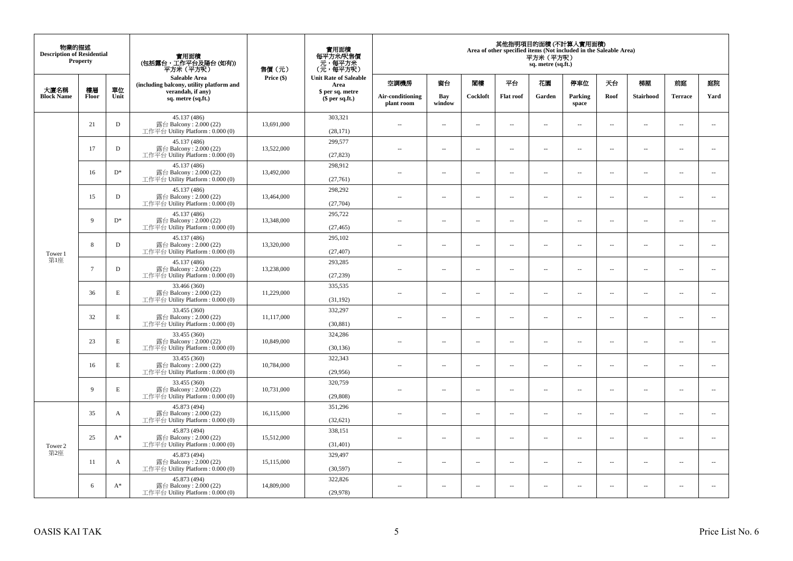| 物業的描述<br><b>Description of Residential</b> | <b>Property</b> |              | 實用面積<br>(包括露台,工作平台及陽台 (如有))<br>平方米 (平方呎)<br><b>Saleable Area</b>             | 售價(元)      | 實用面積<br>每平方米/呎售價<br>- 元, 每平方米<br>(元, 每平方呎) | 其他指明項目的面積 (不計算入實用面積)<br>Area of other specified items (Not included in the Saleable Area)<br>平方米(平方呎)<br>sq. metre (sq.ft.) |                          |                          |                          |                          |                                      |                          |                          |                |                          |    |     |    |    |    |    |
|--------------------------------------------|-----------------|--------------|------------------------------------------------------------------------------|------------|--------------------------------------------|-----------------------------------------------------------------------------------------------------------------------------|--------------------------|--------------------------|--------------------------|--------------------------|--------------------------------------|--------------------------|--------------------------|----------------|--------------------------|----|-----|----|----|----|----|
|                                            |                 |              | (including balcony, utility platform and                                     | Price (\$) |                                            |                                                                                                                             |                          |                          |                          |                          | <b>Unit Rate of Saleable</b><br>Area | 空調機房                     | 窗台                       | 閣樓             | 平台                       | 花園 | 停車位 | 天台 | 梯屋 | 前庭 | 庭院 |
| 大廈名稱<br><b>Block Name</b>                  | 樓層<br>Floor     | 單位<br>Unit   | verandah, if any)<br>sq. metre (sq.ft.)                                      |            | \$ per sq. metre<br>$$$ per sq.ft.)        | Air-conditioning<br>plant room                                                                                              | Bay<br>window            | Cockloft                 | <b>Flat roof</b>         | Garden                   | Parking<br>space                     | Roof                     | Stairhood                | <b>Terrace</b> | Yard                     |    |     |    |    |    |    |
|                                            | 21              | D            | 45.137 (486)<br>露台 Balcony: 2.000 (22)<br>工作平台 Utility Platform: 0.000 (0)   | 13,691,000 | 303,321<br>(28, 171)                       | $\sim$ $\sim$                                                                                                               | $\overline{\phantom{a}}$ | ÷.                       | $\sim$                   | μ.                       | $\sim$                               | $\overline{\phantom{a}}$ | $\overline{\phantom{a}}$ | $\sim$         | $\sim$                   |    |     |    |    |    |    |
|                                            | 17              | D            | 45.137 (486)<br>露台 Balcony: 2.000 (22)<br>工作平台 Utility Platform : $0.000(0)$ | 13,522,000 | 299,577<br>(27, 823)                       | $\sim$                                                                                                                      | $\sim$                   | ÷.                       | $\sim$                   | μ.                       | $\sim$                               | $\sim$                   | $\overline{\phantom{a}}$ | $\sim$         | $\sim$                   |    |     |    |    |    |    |
|                                            | 16              | $D^*$        | 45.137 (486)<br>露台 Balcony: 2.000 (22)<br>工作平台 Utility Platform : $0.000(0)$ | 13,492,000 | 298,912<br>(27,761)                        | $-$                                                                                                                         | ÷.                       | $\sim$                   | $\sim$                   | μ.                       | $\sim$                               | $\overline{\phantom{a}}$ | $\overline{\phantom{a}}$ | $\sim$         | $\overline{\phantom{a}}$ |    |     |    |    |    |    |
|                                            | 15              | D            | 45.137 (486)<br>露台 Balcony: 2.000 (22)<br>工作平台 Utility Platform: 0.000 (0)   | 13,464,000 | 298,292<br>(27,704)                        | $\sim$                                                                                                                      | $\overline{\phantom{a}}$ | $\sim$                   | $\sim$                   | $\sim$                   | $\sim$                               | $\overline{\phantom{a}}$ | $\sim$                   | $\sim$         | $\sim$                   |    |     |    |    |    |    |
|                                            | 9               | $D^*$        | 45.137 (486)<br>露台 Balcony: 2.000 (22)<br>工作平台 Utility Platform: 0.000 (0)   | 13,348,000 | 295,722<br>(27, 465)                       |                                                                                                                             | $\sim$                   | 4                        | $\sim$                   | μ.                       | $\sim$                               | $\sim$                   | $\overline{\phantom{a}}$ | $\sim$         | $\sim$                   |    |     |    |    |    |    |
| Tower 1                                    | 8               | D            | 45.137 (486)<br>露台 Balcony: 2.000 (22)<br>工作平台 Utility Platform: 0.000 (0)   | 13,320,000 | 295,102<br>(27, 407)                       | $\sim$                                                                                                                      | $\sim$                   | $\sim$                   | $\sim$                   | $\overline{a}$           | $\sim$                               | $\sim$                   | $\overline{a}$           | $\sim$         | $\sim$                   |    |     |    |    |    |    |
| 第1座                                        | $\overline{7}$  | D            | 45.137 (486)<br>露台 Balcony: 2.000 (22)<br>工作平台 Utility Platform : $0.000(0)$ | 13,238,000 | 293,285<br>(27, 239)                       | $\sim$                                                                                                                      | $\overline{\phantom{a}}$ | $\overline{\phantom{a}}$ | $\sim$                   | ۰.                       | $\sim$                               | $\overline{\phantom{a}}$ | ۰.                       | $\sim$         | $\overline{\phantom{a}}$ |    |     |    |    |    |    |
|                                            | 36              | $\mathbf E$  | 33.466 (360)<br>露台 Balcony: 2.000 (22)<br>工作平台 Utility Platform: 0.000 (0)   | 11,229,000 | 335,535<br>(31, 192)                       | $\sim$                                                                                                                      | $\sim$                   | $\sim$                   | $\sim$                   | $\overline{a}$           | $\sim$                               | $\sim$                   | $\sim$                   | $\sim$         | $\sim$                   |    |     |    |    |    |    |
|                                            | 32              | $\mathbf E$  | 33.455 (360)<br>露台 Balcony: 2.000 (22)<br>工作平台 Utility Platform: 0.000 (0)   | 11,117,000 | 332,297<br>(30, 881)                       | $\overline{\phantom{a}}$                                                                                                    | $\sim$                   | $\sim$                   | $\sim$                   | μ.                       | $\sim$                               | $\overline{\phantom{a}}$ | $\overline{\phantom{a}}$ | $\sim$         | $\overline{\phantom{a}}$ |    |     |    |    |    |    |
|                                            | 23              | E            | 33.455 (360)<br>露台 Balcony: 2.000 (22)<br>工作平台 Utility Platform: 0.000 (0)   | 10,849,000 | 324,286<br>(30, 136)                       | $\overline{a}$                                                                                                              | $\sim$                   | ÷.                       | $\sim$                   | μ.                       | $\sim$                               | $\sim$                   | $\overline{\phantom{a}}$ | $\sim$         | $\sim$                   |    |     |    |    |    |    |
|                                            | 16              | $\mathbf E$  | 33.455 (360)<br>露台 Balcony: 2.000 (22)<br>工作平台 Utility Platform: 0.000 (0)   | 10,784,000 | 322,343<br>(29,956)                        | $-$                                                                                                                         | ÷.                       | $\sim$                   | $\sim$                   | $\overline{a}$           | $\sim$                               | $\overline{\phantom{a}}$ | $\overline{\phantom{a}}$ | $\sim$         | $\sim$                   |    |     |    |    |    |    |
|                                            | 9               | $\mathbf E$  | 33.455 (360)<br>露台 Balcony: 2.000 (22)<br>工作平台 Utility Platform: 0.000 (0)   | 10,731,000 | 320,759<br>(29,808)                        | $\sim$                                                                                                                      | $\sim$                   | $\sim$                   | $\sim$                   | $\overline{a}$           | $\sim$                               | $\sim$                   | $\sim$                   | $\sim$         | $\sim$                   |    |     |    |    |    |    |
|                                            | 35              | $\mathbf{A}$ | 45.873 (494)<br>露台 Balcony: 2.000 (22)<br>工作平台 Utility Platform : 0.000 (0)  | 16,115,000 | 351,296<br>(32, 621)                       | $\overline{\phantom{a}}$                                                                                                    | $\sim$                   | $\overline{\phantom{a}}$ | $\sim$                   | μ.                       | $\sim$                               | $\sim$                   | $\overline{\phantom{a}}$ | $\sim$         | $\sim$                   |    |     |    |    |    |    |
| Tower 2                                    | 25              | $A^*$        | 45.873 (494)<br>露台 Balcony: 2.000 (22)<br>工作平台 Utility Platform : $0.000(0)$ | 15,512,000 | 338,151<br>(31, 401)                       | $\overline{a}$                                                                                                              | $\overline{\phantom{a}}$ | $\sim$                   | $\sim$                   | $\overline{a}$           | $\sim$                               | $\sim$                   | $\overline{\phantom{a}}$ | $\sim$         | $\sim$                   |    |     |    |    |    |    |
| 第2座                                        | 11              | A            | 45.873 (494)<br>露台 Balcony: 2.000 (22)<br>工作平台 Utility Platform : $0.000(0)$ | 15,115,000 | 329,497<br>(30, 597)                       | $-$                                                                                                                         | $\overline{\phantom{a}}$ | $\sim$                   | $\sim$                   | ۰.                       | $\sim$                               | $\overline{\phantom{a}}$ | $\overline{\phantom{a}}$ | $\sim$         | $\sim$                   |    |     |    |    |    |    |
|                                            | 6               | $A^*$        | 45.873 (494)<br>露台 Balcony: 2.000 (22)<br>工作平台 Utility Platform: 0.000 (0)   | 14,809,000 | 322,826<br>(29, 978)                       | ٠.                                                                                                                          | $\overline{\phantom{a}}$ | 4                        | $\overline{\phantom{a}}$ | $\overline{\phantom{a}}$ | $\sim$                               | $\overline{\phantom{a}}$ | $\overline{\phantom{a}}$ | $\sim$         | $\sim$                   |    |     |    |    |    |    |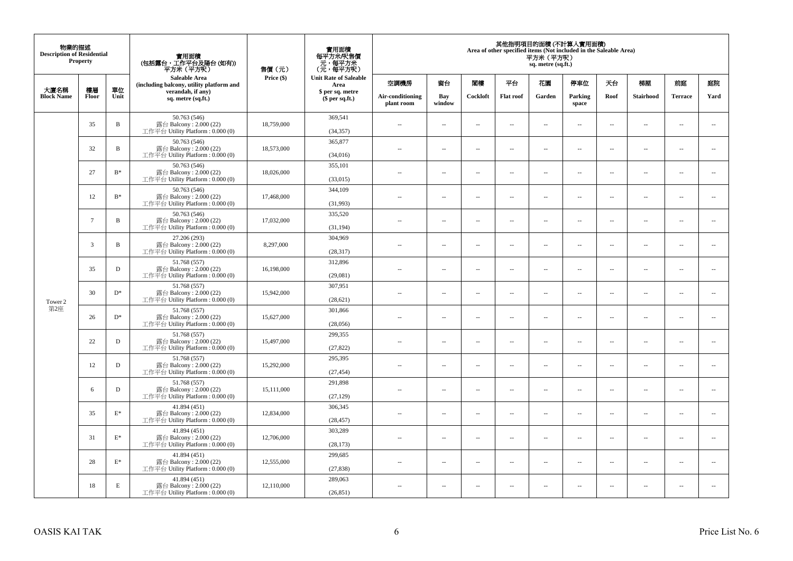| 物業的描述<br><b>Description of Residential</b> | <b>Property</b> |                 | 實用面積<br>(包括露台,工作平台及陽台(如有))<br>平方米(平方呎)                                       | 售價(元)      | 實用面積<br>每平方米/呎售價<br>- 元, 每平方米<br>(元, 每平方呎) | 其他指明項目的面積 (不計算入實用面積)<br>Area of other specified items (Not included in the Saleable Area)<br>平方米 (平方呎)<br>sq. metre (sq.ft.) |                          |                          |                          |                          |                          |                          |                          |                          |                             |  |
|--------------------------------------------|-----------------|-----------------|------------------------------------------------------------------------------|------------|--------------------------------------------|------------------------------------------------------------------------------------------------------------------------------|--------------------------|--------------------------|--------------------------|--------------------------|--------------------------|--------------------------|--------------------------|--------------------------|-----------------------------|--|
| 大廈名稱                                       | 樓層              | 單位              | <b>Saleable Area</b><br>(including balcony, utility platform and             | Price (\$) | <b>Unit Rate of Saleable</b><br>Area       | 空調機房                                                                                                                         | 窗台                       | 閣樓                       | 平台                       | 花園                       | 停車位                      | 天台                       | 梯屋                       | 前庭                       | 庭院                          |  |
| <b>Block Name</b>                          | Floor           | Unit            | verandah, if any)<br>sq. metre (sq.ft.)                                      |            | \$ per sq. metre<br>\$per sq.ft.)          | Air-conditioning<br>plant room                                                                                               | Bay<br>window            | Cockloft                 | <b>Flat</b> roof         | Garden                   | Parking<br>space         | Roof                     | Stairhood                | <b>Terrace</b>           | Yard                        |  |
|                                            | 35              | $\, {\bf B}$    | 50.763 (546)<br>露台 Balcony: 2.000 (22)<br>工作平台 Utility Platform: 0.000 (0)   | 18,759,000 | 369,541<br>(34, 357)                       | $\ddot{\phantom{a}}$                                                                                                         | $\overline{\phantom{a}}$ | $\sim$                   | μ.                       | $\sim$                   | $\sim$                   | $\overline{\phantom{a}}$ | Ξ.                       | $\ddot{\phantom{a}}$     | $\sim$                      |  |
|                                            | 32              | $\, {\bf B}$    | 50.763 (546)<br>露台 Balcony: 2.000 (22)<br>工作平台 Utility Platform: 0.000 (0)   | 18,573,000 | 365,877<br>(34,016)                        | $\sim$                                                                                                                       | $\overline{a}$           | $\sim$                   | $\sim$                   | $\sim$                   | $\sim$                   | $\sim$                   | $\sim$                   | $\sim$                   | $\mathcal{L}_{\mathcal{A}}$ |  |
|                                            | 27              | $\mathbf{B}^*$  | 50.763 (546)<br>露台 Balcony: 2.000 (22)<br>工作平台 Utility Platform : 0.000 (0)  | 18,026,000 | 355,101<br>(33,015)                        | $\sim$                                                                                                                       | $\overline{\phantom{a}}$ | $\overline{\phantom{a}}$ | --                       | $\overline{\phantom{a}}$ | $\overline{\phantom{a}}$ | $\overline{\phantom{a}}$ | $\overline{\phantom{a}}$ | $\overline{\phantom{a}}$ | $\overline{\phantom{a}}$    |  |
|                                            | 12              | $\mathrm{B}^*$  | 50.763 (546)<br>露台 Balcony: 2.000 (22)<br>工作平台 Utility Platform: 0.000 (0)   | 17,468,000 | 344,109<br>(31,993)                        | $\sim$                                                                                                                       | $\overline{\phantom{a}}$ | $\sim$                   | $\sim$                   | $\overline{\phantom{a}}$ | $\sim$                   | $\sim$                   | $\sim$                   | $\overline{\phantom{a}}$ | $\sim$                      |  |
|                                            | $7\phantom{.0}$ | B               | 50.763 (546)<br>露台 Balcony: 2.000 (22)<br>工作平台 Utility Platform: 0.000 (0)   | 17,032,000 | 335,520<br>(31, 194)                       |                                                                                                                              | μ.                       | ÷.                       | μ.                       | $\sim$                   | $\sim$                   | $\sim$                   | Ξ.                       | $\ddot{\phantom{a}}$     | $\sim$                      |  |
|                                            | 3               | $\, {\bf B}$    | 27.206 (293)<br>露台 Balcony: 2.000 (22)<br>工作平台 Utility Platform: 0.000 (0)   | 8,297,000  | 304,969<br>(28, 317)                       | ×.                                                                                                                           | $\sim$                   | $\sim$                   | $\sim$                   | $\sim$                   | $\sim$                   | $\sim$                   | $\overline{a}$           | $\sim$                   | $\sim$                      |  |
|                                            | 35              | $\mathbf D$     | 51.768 (557)<br>露台 Balcony: 2.000 (22)<br>工作平台 Utility Platform: 0.000 (0)   | 16,198,000 | 312,896<br>(29,081)                        | $\sim$                                                                                                                       | $\overline{\phantom{a}}$ | $\sim$                   | $\overline{\phantom{a}}$ | $\overline{\phantom{a}}$ | $\overline{\phantom{a}}$ | $\overline{\phantom{a}}$ | $\overline{\phantom{a}}$ | $\overline{\phantom{a}}$ | $\overline{\phantom{a}}$    |  |
| Tower 2                                    | 30              | $D^*$           | 51.768 (557)<br>露台 Balcony: 2.000 (22)<br>工作平台 Utility Platform: 0.000 (0)   | 15,942,000 | 307,951<br>(28, 621)                       | $\sim$                                                                                                                       | $\overline{a}$           | $\sim$                   | $\sim$                   | $\overline{a}$           | $\sim$                   | $\overline{\phantom{a}}$ | $\overline{\phantom{a}}$ | $\sim$                   | $\sim$                      |  |
| 第2座                                        | 26              | $\mathbf{D}^*$  | 51.768 (557)<br>露台 Balcony: 2.000 (22)<br>工作平台 Utility Platform: 0.000 (0)   | 15,627,000 | 301,866<br>(28,056)                        | $\overline{\phantom{a}}$                                                                                                     | $\sim$                   | $\sim$                   | $\sim$                   | $\sim$                   | $\sim$                   | $\overline{\phantom{a}}$ | $\overline{a}$           | $\sim$                   | $\ddot{\phantom{a}}$        |  |
|                                            | 22              | $\mathbf D$     | 51.768 (557)<br>露台 Balcony: 2.000 (22)<br>工作平台 Utility Platform : 0.000 (0)  | 15,497,000 | 299,355<br>(27, 822)                       | $\sim$                                                                                                                       | $\sim$                   | $\sim$                   | $\sim$                   | $\sim$ $\sim$            | $\overline{\phantom{a}}$ | $\sim$                   | $\sim$                   | $\overline{\phantom{a}}$ | $\overline{\phantom{a}}$    |  |
|                                            | 12              | D               | 51.768 (557)<br>露台 Balcony: 2.000 (22)<br>工作平台 Utility Platform : 0.000 (0)  | 15,292,000 | 295,395<br>(27, 454)                       |                                                                                                                              | $\overline{\phantom{a}}$ | $\sim$                   | μ.                       | $\sim$                   | $\sim$                   | $\overline{\phantom{a}}$ | Ξ.                       | $\ddot{\phantom{a}}$     | $\sim$                      |  |
|                                            | 6               | D               | 51.768 (557)<br>露台 Balcony: 2.000 (22)<br>工作平台 Utility Platform : 0.000 (0)  | 15,111,000 | 291,898<br>(27, 129)                       | $\sim$                                                                                                                       | $\overline{a}$           | $\sim$                   | $\sim$                   | $\overline{a}$           | $\sim$                   | $\overline{\phantom{a}}$ | $\overline{a}$           | $\sim$                   | $\sim$                      |  |
|                                            | 35              | $\mathcal{E}^*$ | 41.894 (451)<br>露台 Balcony: 2.000 (22)<br>工作平台 Utility Platform : 0.000 (0)  | 12,834,000 | 306,345<br>(28, 457)                       | 44                                                                                                                           | $\overline{\phantom{a}}$ | $\sim$                   | μ.                       | $\overline{\phantom{a}}$ | $\sim$                   | $\overline{\phantom{a}}$ | Ξ.                       | $\ddot{\phantom{a}}$     | $\sim$                      |  |
|                                            | 31              | $\mathbf{E}^*$  | 41.894 (451)<br>露台 Balcony: 2.000 (22)<br>工作平台 Utility Platform : 0.000 (0)  | 12,706,000 | 303,289<br>(28, 173)                       | $\sim$                                                                                                                       | $\sim$                   | $\sim$                   | $\sim$                   | $\sim$ $\sim$            | $\sim$                   | $\sim$                   | $\sim$                   | $\sim$                   | $\sim$                      |  |
|                                            | 28              | $\mathcal{E}^*$ | 41.894 (451)<br>露台 Balcony: 2.000 (22)<br>工作平台 Utility Platform : $0.000(0)$ | 12,555,000 | 299,685<br>(27, 838)                       | $\sim$ $\sim$                                                                                                                | $\overline{\phantom{a}}$ | $\sim$                   | μ.                       | $\overline{\phantom{a}}$ | $\sim$                   | $\overline{\phantom{a}}$ | $\overline{\phantom{a}}$ | $\sim$                   | $\sim$                      |  |
|                                            | 18              | E               | 41.894 (451)<br>露台 Balcony: 2.000 (22)<br>工作平台 Utility Platform: 0.000 (0)   | 12,110,000 | 289,063<br>(26, 851)                       | $\sim$                                                                                                                       | $\sim$                   | $\sim$                   | $\sim$                   | $\sim$ $\sim$            | $\sim$                   | $\overline{\phantom{a}}$ | $\sim$                   | $\sim$                   | $\sim$                      |  |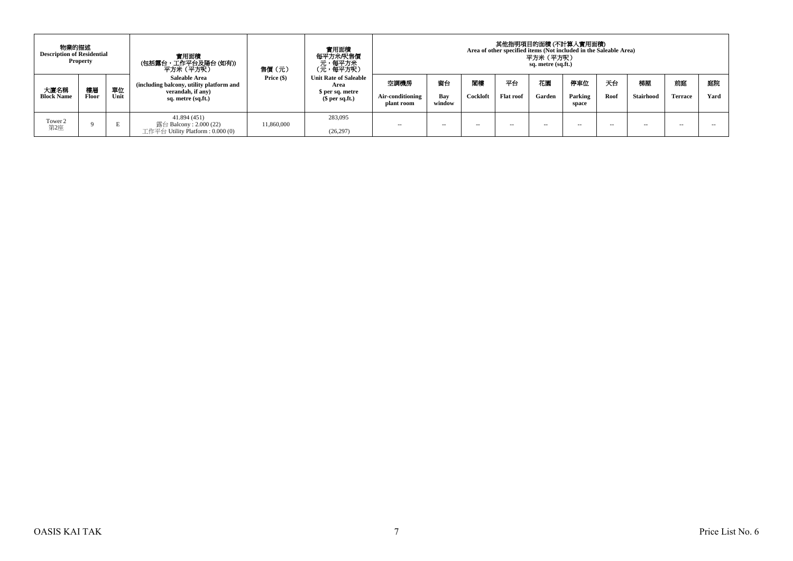| 物業的描述<br><b>Description of Residential</b> | <b>Property</b> |            | 實用面積<br>(包括露台,工作平台及陽台 (如有))<br>平方米 (平方呎 )                                                                   | 售價(元)        | 實用面積<br>每平方米/呎售價<br>、元<br>(元,每平方米)<br>(元,每平方呎)                              | 其他指明項目的面積 (不計算入實用面積)<br>Area of other specified items (Not included in the Saleable Area)<br>平方米 (平方呎)<br>sq. metre (sq.ft.) |                     |                |                        |               |                         |            |                        |                      |            |
|--------------------------------------------|-----------------|------------|-------------------------------------------------------------------------------------------------------------|--------------|-----------------------------------------------------------------------------|------------------------------------------------------------------------------------------------------------------------------|---------------------|----------------|------------------------|---------------|-------------------------|------------|------------------------|----------------------|------------|
| 大廈名稱<br><b>Block Name</b>                  | 樓層<br>Floor     | 單位<br>Unit | <b>Saleable Area</b><br>(including balcony, utility platform and<br>verandah, if any)<br>sq. metre (sq.ft.) | Price $(\$)$ | <b>Unit Rate of Saleable</b><br>Area<br>\$ per sq. metre<br>$$$ per sq.ft.) | 空調機房<br>Air-conditioning<br>plant room                                                                                       | 窗台<br>Bay<br>window | 閣樓<br>Cockloft | 平台<br><b>Flat roof</b> | 花園<br>Garden  | 停車位<br>Parking<br>space | 天台<br>Roof | 梯屋<br><b>Stairhood</b> | 前庭<br><b>Terrace</b> | 庭院<br>Yard |
| Tower 2<br>第2座                             |                 |            | 41.894(451)<br>露台 Balcony : 2.000 (22)<br>工作平台 Utility Platform : 0.000 (0)                                 | 11.860.000   | 283,095<br>(26, 297)                                                        | $\sim$ $-$                                                                                                                   | $\sim$              | $\sim$ $\sim$  | $\sim$                 | $\sim$ $\sim$ | -                       | $-$        | $- -$                  | $\sim$               | -          |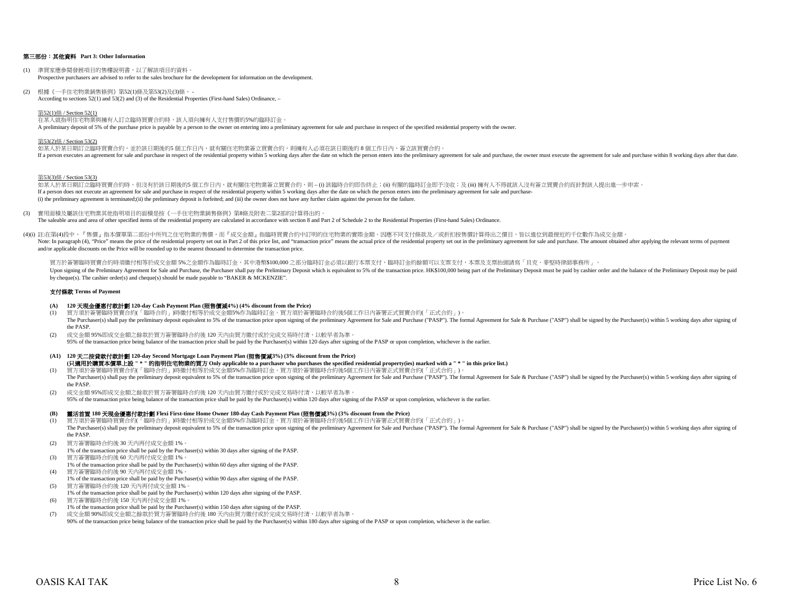## 第三部份:其他資料 **Part 3: Other Information**

- (1) 準買家應參閱發展項目的售樓說明書,以了解該項目的資料。 Prospective purchasers are advised to refer to the sales brochure for the development for information on the development.
- (2) 根據《一手住宅物業銷售條例》第52(1)條及第53(2)及(3)條, According to sections 52(1) and 53(2) and (3) of the Residential Properties (First-hand Sales) Ordinance, –

#### 第52(1)條 / Section 52(1)

在某人就指明住宅物業與擁有人訂立臨時買賣合約時,該人須向擁有人支付售價的5%的臨時訂金。 A preliminary deposit of 5% of the purchase price is payable by a person to the owner on entering into a preliminary agreement for sale and purchase in respect of the specified residential property with the owner.

## 第53(2)條 / Section 53(2)

如某人於某日期訂立臨時買賣合約,並於該日期後的5 個工作日內,就有關住宅物業簽立買賣合約,則擁有人必須在該日期後的 8 個工作日內,簽立該買賣合約。 If a person executes an agreement for sale and purchase in respect of the residential property within 5 working days after the date on which the person enters into the preliminary agreement for sale and purchase, the owner

#### 第53(3)條 / Section 53(3)

如某人於某日期訂立臨時買賣合約時,但沒有於該日期後的5 個工作日内,就有關住宅物業簽立買賣合約,則 – (i) 該臨時合約即告終止;(ii) 有關的臨時訂金即予沒收;及 (iii) 擁有人不得就該人沒有簽立買賣合約而針對該人提出進一步申索。 If a person does not execute an agreement for sale and purchase in respect of the residential property within 5 working days after the date on which the person enters into the preliminary agreement for sale and purchase-(i) the preliminary agreement is terminated;(ii) the preliminary deposit is forfeited; and (iii) the owner does not have any further claim against the person for the failure.

- (3) 實用面積及屬該住宅物業其他指明項目的面積是按《一手住宅物業銷售條例》第8條及附表二第2部的計算得出的。 The saleable area and area of other specified items of the residential property are calculated in accordance with section 8 and Part 2 of Schedule 2 to the Residential Properties (First-hand Sales) Ordinance.
- (4)(i) 註:在第(4)段中,『售價』指本價單第二部份中所列之住宅物業的售價,而『成交金額』指臨時買賣合約中訂明的住宅物業的實際金額。因應不同支付條款及/或折扣按售價計算得出之價目,皆以進位到最接近的千位數作為成交金額。 Note: In paragraph (4), "Price" means the price of the residential property set out in Part 2 of this price list, and "transaction price" means the actual price of the residential property set out in the preliminary agreem and/or applicable discounts on the Price will be rounded up to the nearest thousand to determine the transaction price.

買方於簽署臨時買賣合約時須繳付相等於成交金額ら%之金額作為臨時訂金,其中港幣\$100,000 之部分臨時訂金必須以銀行本票支付,臨時訂金的餘額可以支票支付,本票及支票抬頭請寫「貝克‧麥堅時律師事務所」。 Upon signing of the Preliminary Agreement for Sale and Purchase, the Purchaser shall pay the Preliminary Deposit which is equivalent to 5% of the transaction price. HK\$100,000 being part of the Preliminary Deposit must be by cheque(s). The cashier order(s) and cheque(s) should be made payable to "BAKER & MCKENZIE".

#### 支付條款 **Terms of Payment**

#### **(A) 120** 天現金優惠付款計劃 **120-day Cash Payment Plan (**照售價減**4%) (4% discount from the Price)**

- (1) 買方須於簽署臨時買賣合約(「臨時合約」)時繳付相等於成交金額5%作為臨時訂金。買方須於簽署臨時合約後5個工作日內簽署正式買賣合約(「正式合約」)。 The Purchaser(s) shall pay the preliminary deposit equivalent to 5% of the transaction price upon signing of the preliminary Agreement for Sale and Purchase ("PASP"). The formal Agreement for Sale & Purchase ("ASP") shall the PASP.
- (2) 成交金額 95%即成交金額之餘款於買方簽署臨時合約後 120 天內由買方繳付或於完成交易時付清,以較早者為準。 95% of the transaction price being balance of the transaction price shall be paid by the Purchaser(s) within 120 days after signing of the PASP or upon completion, whichever is the earlier.

# **(A1) 120** 天二按貸款付款計劃 **120-day Second Mortgage Loan Payment Plan (**照售價減**3%) (3% discount from the Price)**

- (1) 買方須於簽署臨時買賣合約(「臨時合約」)時繳付相等於成交金額5%作為臨時訂金。買方須於簽署臨時合約後5個工作日內簽署正式買賣合約(「正式合約」)。 **(**只適用於購買本價單上設 **" \* "** 的指明住宅物業的買方 **Only applicable to a purchaser who purchases the specified residential property(ies) marked with a " \* " in this price list.)**
- The Purchaser(s) shall pay the preliminary deposit equivalent to 5% of the transaction price upon signing of the preliminary Agreement for Sale and Purchase ("PASP"). The formal Agreement for Sale & Purchase ("ASP") shall the PASP.
- (2) 成交金額 95%即成交金額之餘款於買方簽署臨時合約後 120 天內由買方繳付或於完成交易時付清,以較早者為準。 95% of the transaction price being balance of the transaction price shall be paid by the Purchaser(s) within 120 days after signing of the PASP or upon completion, whichever is the earlier.

### **(B)** 靈活首置 **180** 天現金優惠付款計劃 **Flexi First-time Home Owner 180-day Cash Payment Plan (**照售價減**3%) (3% discount from the Price)**

- (1) 買方須於簽署臨時買賣合約(「臨時合約」)時繳付相等於成交金額5%作為臨時訂金。買方須於簽署臨時合約後5個工作日內簽署正式買賣合約(「正式合約」)。 The Purchaser(s) shall pay the preliminary deposit equivalent to 5% of the transaction price upon signing of the preliminary Agreement for Sale and Purchase ("PASP"). The formal Agreement for Sale & Purchase ("ASP") shall the PASP.
- (2) 買方簽署臨時合約後 30 天內再付成交金額 1%。
- 1% of the transaction price shall be paid by the Purchaser(s) within 30 days after signing of the PASP. (3) 買方簽署臨時合約後 60 天內再付成交金額 1%。
- 1% of the transaction price shall be paid by the Purchaser(s) within 60 days after signing of the PASP. (4) 買方簽署臨時合約後 90 天內再付成交金額 1%。
- 1% of the transaction price shall be paid by the Purchaser(s) within 90 days after signing of the PASP.
- (5) 買方簽署臨時合約後 120 天內再付成交金額 1%。
- 1% of the transaction price shall be paid by the Purchaser(s) within 120 days after signing of the PASP.
- (6) 買方簽署臨時合約後 150 天內再付成交金額 1%。
- 1% of the transaction price shall be paid by the Purchaser(s) within 150 days after signing of the PASP. (7) 成交金額 90%即成交金額之餘款於買方簽署臨時合約後 180 天內由買方繳付或於完成交易時付清,以較早者為準。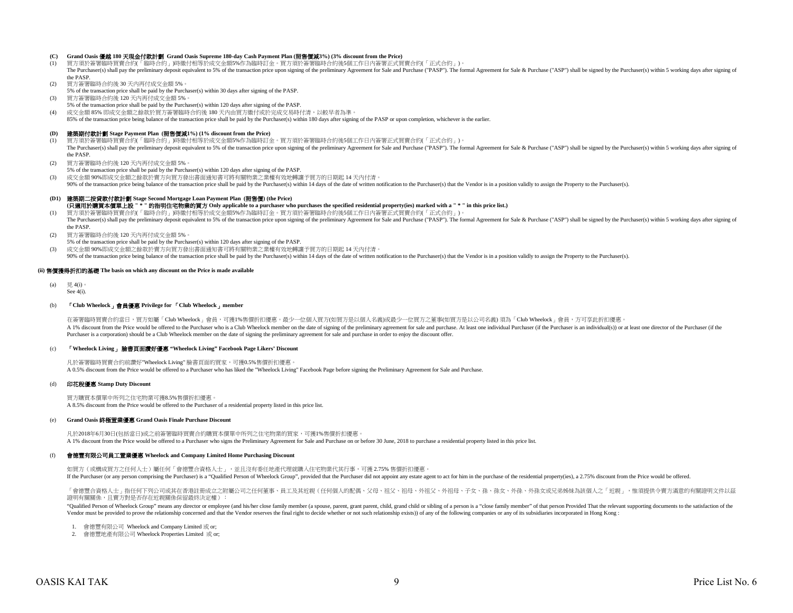#### **(C) Grand Oasis** 優越 **180** 天現金付款計劃 **Grand Oasis Supreme 180-day Cash Payment Plan (**照售價減**3%) (3% discount from the Price)**

- (1) 買方須於簽署臨時買賣合約(「臨時合約」)時繳付相等於成交金額5%作為臨時訂金。買方須於簽署臨時合約後5個工作日內簽署正式買賣合約(「正式合約」)。 The Purchaser(s) shall pay the preliminary deposit equivalent to 5% of the transaction price upon signing of the preliminary Agreement for Sale and Purchase ("PASP"). The formal Agreement for Sale & Purchase ("ASP") shall the PASP.
- 
- (2) 買方簽署臨時合約後 30 天內再付成交金額 5%。
- 5% of the transaction price shall be paid by the Purchaser(s) within 30 days after signing of the PASP.
- (3) 買方簽署臨時合約後 120 天內再付成交金額 5%。
- 5% of the transaction price shall be paid by the Purchaser(s) within 120 days after signing of the PASP.
- (4) 成交金額 85% 即成交金額之餘款於買方簽署臨時合約後 180 天內由買方繳付或於完成交易時付清,以較早者為準。
- 85% of the transaction price being balance of the transaction price shall be paid by the Purchaser(s) within 180 days after signing of the PASP or upon completion, whichever is the earlier

#### **(D)** 建築期付款計劃 **Stage Payment Plan (**照售價減**1%) (1% discount from the Price)**

- (1) 買方須於簽署臨時買賣合約(「臨時合約」)時繳付相等於成交金額5%作為臨時訂金。買方須於簽署臨時合約後5個工作日內簽署正式買賣合約(「正式合約」)。 The Purchaser(s) shall pay the preliminary deposit equivalent to 5% of the transaction price upon signing of the preliminary Agreement for Sale and Purchase ("PASP"). The formal Agreement for Sale & Purchase ("ASP") shall the PASP.
- (2) 買方簽署臨時合約後 120 天內再付成交金額 5%。
- 5% of the transaction price shall be paid by the Purchaser(s) within 120 days after signing of the PASP.
- (3) 成交金額 90%即成交金額之餘款於賣方向買方發出書面通知書可將有關物業之業權有效地轉讓予買方的日期起 14 天內付清。
- 90% of the transaction price being balance of the transaction price shall be paid by the Purchaser(s) within 14 days of the date of written notification to the Purchaser(s) that the Vendor is in a position validly to assig

#### **(D1)** 建築期二按貸款付款計劃 **Stage Second Mortgage Loan Payment Plan (**照售價**) (the Price)**

**(**只適用於購買本價單上設 **" \* "** 的指明住宅物業的買方 **Only applicable to a purchaser who purchases the specified residential property(ies) marked with a " \* " in this price list.)**

- (1) 買方須於簽署臨時買賣合約(「臨時合約」)時繳付相等於成交金額5%作為臨時訂金。買方須於簽署臨時合約後5個工作日內簽署正式買賣合約(「正式合約」)。 The Purchaser(s) shall pay the preliminary deposit equivalent to 5% of the transaction price upon signing of the preliminary Agreement for Sale and Purchase ("PASP"). The formal Agreement for Sale & Purchase ("ASP") shall the PASP.
- (2) 買方簽署臨時合約後 120 天內再付成交金額 5%。
- 5% of the transaction price shall be paid by the Purchaser(s) within 120 days after signing of the PASP.
- (3) 成交金額 90%即成交金額之餘款於賣方向買方發出書面通知書可將有關物業之業權有效地轉讓予買方的日期起 14 天內付清。
	- 90% of the transaction price being balance of the transaction price shall be paid by the Purchaser(s) within 14 days of the date of written notification to the Purchaser(s), that the Vendor is in a position validly to assi

#### **(ii)** 售價獲得折扣的基礎 **The basis on which any discount on the Price is made available**

 $(a)$   $\boxplus$  4(i) See 4(i).

#### (b) 「**Club Wheelock**」會員優惠 **Privilege for** 「**Club Wheelock**」**member**

A 1% discount from the Price would be offered to the Purchaser who is a Club Wheelock member on the date of signing of the preliminary agreement for sale and purchase. At least one individual Purchaser (if the Purchaser is Purchaser is a corporation) should be a Club Wheelock member on the date of signing the preliminary agreement for sale and purchase in order to enjoy the discount offer. 在簽署臨時買賣合約當日,買方如屬「Club Wheelock」會員,可獲1%售價折扣優惠。最少一位個人買方似買方是以個人名義)或最少一位買方之董事(如買方是以公司名義) 須為「Club Wheelock」會員,方可享此折扣優惠。

#### (c) 「**Wheelock Living**」 臉書頁面讚好優惠 **"Wheelock Living" Facebook Page Likers' Discount**

凡於簽署臨時買賣合約前讚好"Wheelock Living" 臉書頁面的買家,可獲0.5%售價折扣優惠。 A 0.5% discount from the Price would be offered to a Purchaser who has liked the "Wheelock Living" Facebook Page before signing the Preliminary Agreement for Sale and Purchase.

#### (d) 印花稅優惠 **Stamp Duty Discount**

買方購買本價單中所列之住宅物業可獲8.5%售價折扣優惠。 A 8.5% discount from the Price would be offered to the Purchaser of a residential property listed in this price list.

#### (e) **Grand Oasis** 終極置業優惠 **Grand Oasis Finale Purchase Discount**

凡於2018年6月30日(包括當日)或之前簽署臨時買賣合約購買本價單中所列之住宅物業的買家,可獲1%售價折扣優惠。 A 1% discount from the Price would be offered to a Purchaser who signs the Preliminary Agreement for Sale and Purchase on or before 30 June, 2018 to purchase a residential property listed in this price list.

#### (f) 會德豐有限公司員工置業優惠 **Wheelock and Company Limited Home Purchasing Discount**

如買方(或構成買方之任何人士)屬任何「會德豐合資格人士」,並且沒有委任地產代理就購入住宅物業代其行事,可獲 2.75% 售價折扣優惠。 If the Purchaser (or any person comprising the Purchaser) is a "Oualified Person of Wheelock Group", provided that the Purchaser did not appoint any estate agent to act for him in the purchase of the residential property(i

「會德豐合資格人士」指任何下列公司或其在香港註冊成立之附屬公司之任何董事、員工及其近親(任何個人的配偶、父母、祖父、祖母、外祖父、外祖母、子女、孫、孫女、外孫、外孫女或兄弟姊妹為該個人之「近親」,惟須提供令賣方滿意的有關證明文件以茲 證明有關關係,且賣方對是否存在近親關係保留最終決定權):

"Qualified Person of Wheelock Group" means any director or employee (and his/her close family member (a spouse, parent, grant parent, still, grand child or sibling of a person is a "close family member" of that person Frov Vendor must be provided to prove the relationship concerned and that the Vendor reserves the final right to decide whether or not such relationship exists) of any of the following companies or any of its subsidiaries incor

- 1. 會德豐有限公司 Wheelock and Company Limited 或 or;
- 2. 會德豐地產有限公司 Wheelock Properties Limited 或 or;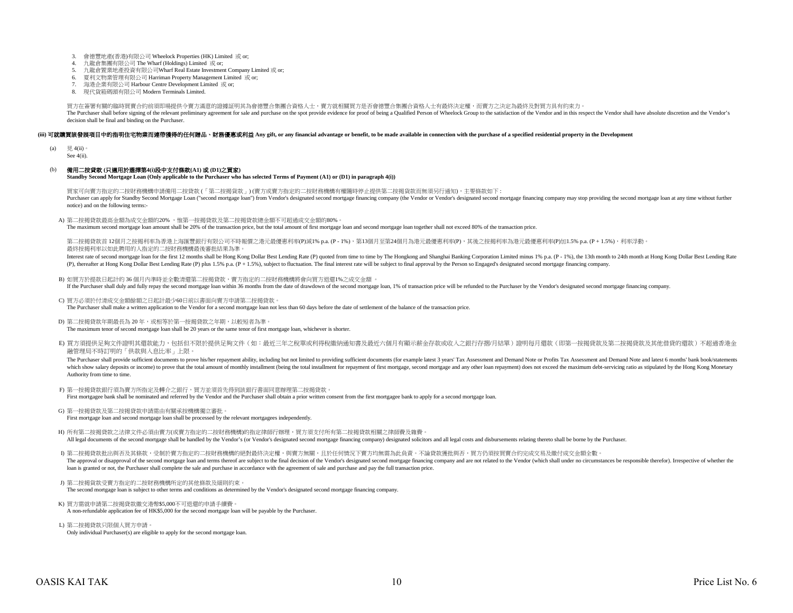- 3. 會德豐地產(香港)有限公司 Wheelock Properties (HK) Limited 或 or;
- 4. 九龍倉集團有限公司 The Wharf (Holdings) Limited 或 or;
- 5. 九龍倉置業地產投資有限公司Wharf Real Estate Investment Company Limited 或 or;
- 夏利文物業管理有限公司 Harriman Property Management Limited 或 or;
- 6. 夏利文物業管理有限公司 Harriman Property Management Limi<br>7. 海港企業有限公司 Harbour Centre Development Limited 或 or;
- 8. 現代貨箱碼頭有限公司 Modern Terminals Limited.

買方在簽署有關的臨時買賣合約前須即場提供令賣方滿意的證據証明其為會德豐合集團合資格人士,賣方就相關買方是否會德豐合集團合資格人士有最終決定權,而賣方之決定為最終及對買方具有約束力。 The Purchaser shall before signing of the relevant preliminary agreement for sale and purchase on the spot provide evidence for proof of being a Qualified Person of Wheelock Group to the satisfaction of the Vendor and in t decision shall be final and binding on the Purchaser.

#### (iii) 可就購買該發展項目中的指明住宅物業而連帶獲得的任何贈品、財務優惠或利益 Any gift, or any financial advantage or benefit, to be made available in connection with the purchase of a specified residential property in the Development

(a)  $\Box$  4(ii)

See 4(ii).

#### (b) 備用二按貸款 **(**只適用於選擇第**4(i)**段中支付條款**(A1)** 或 **(D1)**之買家**)**

**Standby Second Mortgage Loan (Only applicable to the Purchaser who has selected Terms of Payment (A1) or (D1) in paragraph 4(i))**

買家可向賣方指定的二按財務機構申請備用二按貸款 (「第二按揭貨款」) (賣方或賣方指定的二按財務機構有權隨時停止提供第二按揭貨款而無須另行通知),主要條款如下 : Purchaser can apply for Standby Second Mortgage Loan ("second mortgage loan") from Vendor's designated second mortgage financing company (the Vendor or Vendor's designated second mortgage financing company may stop providi notice) and on the following terms:-

A) 第二按揭貸款最高金額為成交金額的20% ,惟第一按揭貸款及第二按揭貸款總金額不可超過成交金額的80%。

The maximum second mortgage loan amount shall be 20% of the transaction price, but the total amount of first mortgage loan and second mortgage loan together shall not exceed 80% of the transaction price.

第二按揭貸款首 12個月之按揭利率為香港上海匯豐銀行有限公司不時報價之港元最優惠利率(P)減1% p.a. (P - 1%),第13個月至第24個月為港元最優惠利率(P),其後之按揭利率為港元最優惠利率(P)加1.5% p.a. (P + 1.5%),利率浮動。 最終按揭利率以如此聘用的人指定的二按財務機構最後審批結果為準。

Interest rate of second mortgage loan for the first 12 months shall be Hong Kong Dollar Best Lending Rate (P) quoted from time to time by The Hongkong and Shanghai Banking Corporation Limited minus 1% p.a. (P - 1%), the 13 (P), thereafter at Hong Kong Dollar Best Lending Rate (P) plus 1.5% p.a. (P + 1.5%), subject to fluctuation. The final interest rate will be subject to final approval by the Person so Engaged's designated second mortgage f

- B) 如買方於提款日起計的 36 個月內準時並全數清還第二按揭貸款,賣方指定的二按財務機構將會向買方退還1%之成交金額 。 If the Purchaser shall duly and fully repay the second mortgage loan within 36 months from the date of drawdown of the second mortgage loan, 1% of transaction price will be refunded to the Purchaser by the Vendor's designa
- C) 買方必須於付清成交金額餘額之日起計最少60日前以書面向賣方申請第二按揭貸款。

The Purchaser shall make a written application to the Vendor for a second mortgage loan not less than 60 days before the date of settlement of the balance of the transaction price.

D) 第二按揭貸款年期最長為 20 年,或相等於第一按揭貸款之年期,以較短者為準。

The maximum tenor of second mortgage loan shall be 20 years or the same tenor of first mortgage loan, whichever is shorter.

E) 買方須提供足夠文件證明其還款能力,包括但不限於提供足夠文件(如:最近三年之稅單或利得稅繳納通知書及最近六個月有顯示薪金存款或收入之銀行存摺/月結單)證明每月還款(即第一按揭貸款及第二按揭貸款及其他借貸的還款)不超過香港金 融管理局不時訂明的「供款與入息比率」上限。

The Purchaser shall provide sufficient documents to prove his/her repayment ability, including but not limited to providing sufficient documents (for example latest 3 years' Tax Assessment and Demand Note or Profits Tax As which show salary deposits or income) to prove that the total amount of monthly installment (being the total installment for repayment of first mortgage, second mortgage and any other loan repayment) does not exceed the ma Authority from time to time.

- F) 第一按揭貸款銀行須為賣方所指定及轉介之銀行,買方並須首先得到該銀行書面同意辦理第二按揭貸款。 First mortgagee bank shall be nominated and referred by the Vendor and the Purchaser shall obtain a prior written consent from the first mortgagee bank to apply for a second mortgage loan.
- G) 第一按揭貸款及第二按揭貸款申請需由有關承按機構獨立審批。
- First mortgage loan and second mortgage loan shall be processed by the relevant mortgagees independently.
- H) 所有第二按揭貸款之法律文件必須由賣方(或賣方指定的二按財務機構)的指定律師行辦理, 買方須支付所有第二按揭貸款相關之律師費及雜費。 All legal documents of the second mortgage shall be handled by the Vendor's (or Vendor's designated second mortgage financing company) designated solicitors and all legal costs and disbursements relating thereto shall be b
- I) 第二按揭貸款批出與否及其條款,受制於賣方指定的二按財務機構的絕對最終決定權,與賣方無關,且於任何情況下賣方均無需為此負責。不論貸款獲批與否,買方仍須按買賣合約完成交易及繳付成交金額全數。 The approval or disapproval of the second mortgage loan and terms thereof are subject to the final decision of the Vendor's designated second mortgage financing company and are not related to the Vendor (which shall under loan is granted or not, the Purchaser shall complete the sale and purchase in accordance with the agreement of sale and purchase and pay the full transaction price.
- J) 第二按揭貨款受賣方指定的二按財務機構所定的其他條款及細則約束。 The second mortgage loan is subject to other terms and conditions as determined by the Vendor's designated second mortgage financing company.
- K) 買方需就申請第二按揭貸款繳交港幣\$5,000不可退還的申請手續費。 A non-refundable application fee of HK\$5,000 for the second mortgage loan will be payable by the Purchaser.
- L) 第二按揭貸款只限個人買方申請。 Only individual Purchaser(s) are eligible to apply for the second mortgage loan.